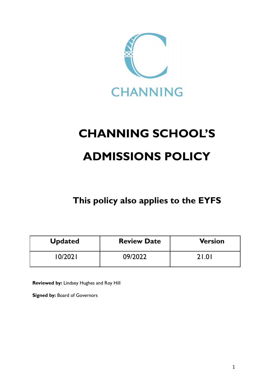

# **CHANNING SCHOOL'S ADMISSIONS POLICY**

**This policy also applies to the EYFS**

| <b>Updated</b> | <b>Review Date</b> | <b>Version</b> |
|----------------|--------------------|----------------|
| (0/2021)       | 09/2022            | 21.01          |

**Reviewed by:** Lindsey Hughes and Roy Hill

**Signed by:** Board of Governors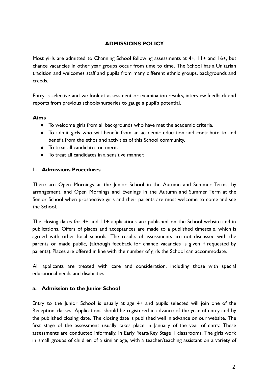# **ADMISSIONS POLICY**

Most girls are admitted to Channing School following assessments at 4+, 11+ and 16+, but chance vacancies in other year groups occur from time to time. The School has a Unitarian tradition and welcomes staff and pupils from many different ethnic groups, backgrounds and creeds.

Entry is selective and we look at assessment or examination results, interview feedback and reports from previous schools/nurseries to gauge a pupil's potential.

#### **Aims**

- To welcome girls from all backgrounds who have met the academic criteria.
- To admit girls who will benefit from an academic education and contribute to and benefit from the ethos and activities of this School community.
- To treat all candidates on merit.
- To treat all candidates in a sensitive manner.

#### **1. Admissions Procedures**

There are Open Mornings at the Junior School in the Autumn and Summer Terms, by arrangement, and Open Mornings and Evenings in the Autumn and Summer Term at the Senior School when prospective girls and their parents are most welcome to come and see the School.

The closing dates for 4+ and 11+ applications are published on the School website and in publications. Offers of places and acceptances are made to a published timescale, which is agreed with other local schools. The results of assessments are not discussed with the parents or made public, (although feedback for chance vacancies is given if requested by parents). Places are offered in line with the number of girls the School can accommodate.

All applicants are treated with care and consideration, including those with special educational needs and disabilities.

#### **a. Admission to the Junior School**

Entry to the Junior School is usually at age 4+ and pupils selected will join one of the Reception classes. Applications should be registered in advance of the year of entry and by the published closing date. The closing date is published well in advance on our website. The first stage of the assessment usually takes place in January of the year of entry. These assessments are conducted informally, in Early Years/Key Stage 1 classrooms. The girls work in small groups of children of a similar age, with a teacher/teaching assistant on a variety of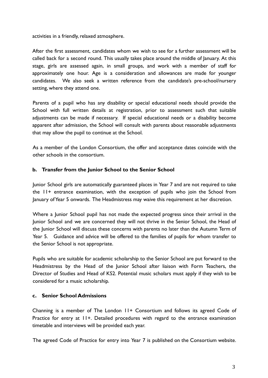activities in a friendly, relaxed atmosphere.

After the first assessment, candidates whom we wish to see for a further assessment will be called back for a second round. This usually takes place around the middle of January. At this stage, girls are assessed again, in small groups, and work with a member of staff for approximately one hour. Age is a consideration and allowances are made for younger candidates. We also seek a written reference from the candidate's pre-school/nursery setting, where they attend one.

Parents of a pupil who has any disability or special educational needs should provide the School with full written details at registration, prior to assessment such that suitable adjustments can be made if necessary. If special educational needs or a disability become apparent after admission, the School will consult with parents about reasonable adjustments that may allow the pupil to continue at the School.

As a member of the London Consortium, the offer and acceptance dates coincide with the other schools in the consortium.

## **b. Transfer from the Junior School to the Senior School**

Junior School girls are automatically guaranteed places in Year 7 and are not required to take the 11+ entrance examination, with the exception of pupils who join the School from January of Year 5 onwards. The Headmistress may waive this requirement at her discretion.

Where a Junior School pupil has not made the expected progress since their arrival in the Junior School and we are concerned they will not thrive in the Senior School, the Head of the Junior School will discuss these concerns with parents no later than the Autumn Term of Year 5. Guidance and advice will be offered to the families of pupils for whom transfer to the Senior School is not appropriate.

Pupils who are suitable for academic scholarship to the Senior School are put forward to the Headmistress by the Head of the Junior School after liaison with Form Teachers, the Director of Studies and Head of KS2. Potential music scholars must apply if they wish to be considered for a music scholarship.

#### **c. Senior School Admissions**

Channing is a member of The London 11+ Consortium and follows its agreed Code of Practice for entry at 11+. Detailed procedures with regard to the entrance examination timetable and interviews will be provided each year.

The agreed Code of Practice for entry into Year 7 is published on the Consortium website.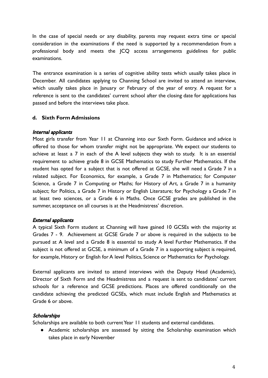In the case of special needs or any disability, parents may request extra time or special consideration in the examinations if the need is supported by a recommendation from a professional body and meets the JCQ access arrangements guidelines for public examinations.

The entrance examination is a series of cognitive ability tests which usually takes place in December. All candidates applying to Channing School are invited to attend an interview, which usually takes place in January or February of the year of entry. A request for a reference is sent to the candidates' current school after the closing date for applications has passed and before the interviews take place.

## **d. Sixth Form Admissions**

#### Internal applicants

Most girls transfer from Year 11 at Channing into our Sixth Form. Guidance and advice is offered to those for whom transfer might not be appropriate. We expect our students to achieve at least a 7 in each of the A level subjects they wish to study. It is an essential requirement to achieve grade 8 in GCSE Mathematics to study Further Mathematics. If the student has opted for a subject that is not offered at GCSE, she will need a Grade 7 in a related subject. For Economics, for example, a Grade 7 in Mathematics; for Computer Science, a Grade 7 in Computing or Maths; for History of Art, a Grade 7 in a humanity subject; for Politics, a Grade 7 in History or English Literature; for Psychology a Grade 7 in at least two sciences, or a Grade 6 in Maths. Once GCSE grades are published in the summer, acceptance on all courses is at the Headmistress' discretion.

#### External applicants

A typical Sixth Form student at Channing will have gained 10 GCSEs with the majority at Grades 7 - 9. Achievement at GCSE Grade 7 or above is required in the subjects to be pursued at A level and a Grade 8 is essential to study A level Further Mathematics. If the subject is not offered at GCSE, a minimum of a Grade 7 in a supporting subject is required, for example, History or English for A level Politics, Science or Mathematics for Psychology.

External applicants are invited to attend interviews with the Deputy Head (Academic), Director of Sixth Form and the Headmistress and a request is sent to candidates' current schools for a reference and GCSE predictions. Places are offered conditionally on the candidate achieving the predicted GCSEs, which must include English and Mathematics at Grade 6 or above.

#### **Scholarships**

Scholarships are available to both current Year 11 students and external candidates.

● Academic scholarships are assessed by sitting the Scholarship examination which takes place in early November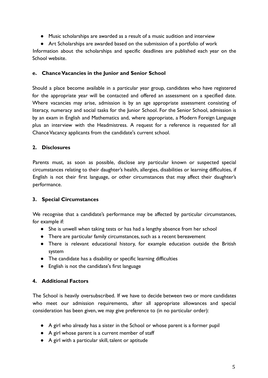- Music scholarships are awarded as a result of a music audition and interview
- Art Scholarships are awarded based on the submission of a portfolio of work

Information about the scholarships and specific deadlines are published each year on the School website.

### **e. Chance Vacancies in the Junior and Senior School**

Should a place become available in a particular year group, candidates who have registered for the appropriate year will be contacted and offered an assessment on a specified date. Where vacancies may arise, admission is by an age appropriate assessment consisting of literacy, numeracy and social tasks for the Junior School. For the Senior School, admission is by an exam in English and Mathematics and, where appropriate, a Modern Foreign Language plus an interview with the Headmistress. A request for a reference is requested for all Chance Vacancy applicants from the candidate's current school.

# **2. Disclosures**

Parents must, as soon as possible, disclose any particular known or suspected special circumstances relating to their daughter's health, allergies, disabilities or learning difficulties, if English is not their first language, or other circumstances that may affect their daughter's performance.

# **3. Special Circumstances**

We recognise that a candidate's performance may be affected by particular circumstances, for example if:

- She is unwell when taking tests or has had a lengthy absence from her school
- There are particular family circumstances, such as a recent bereavement
- There is relevant educational history, for example education outside the British system
- The candidate has a disability or specific learning difficulties
- English is not the candidate's first language

# **4. Additional Factors**

The School is heavily oversubscribed. If we have to decide between two or more candidates who meet our admission requirements, after all appropriate allowances and special consideration has been given, we may give preference to (in no particular order):

- A girl who already has a sister in the School or whose parent is a former pupil
- A girl whose parent is a current member of staff
- A girl with a particular skill, talent or aptitude